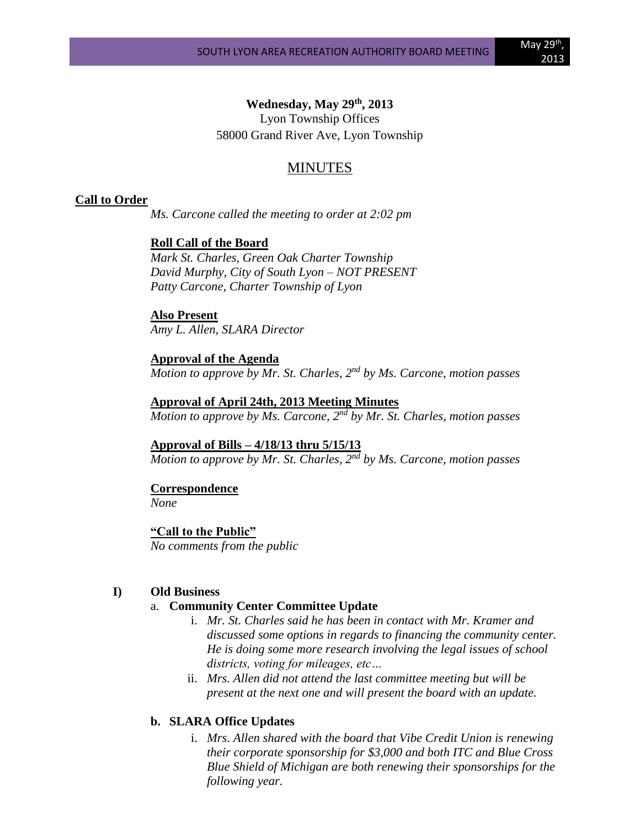## **Wednesday, May 29th, 2013**

Lyon Township Offices 58000 Grand River Ave, Lyon Township

# MINUTES

#### **Call to Order**

*Ms. Carcone called the meeting to order at 2:02 pm*

#### **Roll Call of the Board**

*Mark St. Charles, Green Oak Charter Township David Murphy, City of South Lyon – NOT PRESENT Patty Carcone, Charter Township of Lyon* 

### **Also Present** *Amy L. Allen, SLARA Director*

**Approval of the Agenda** *Motion to approve by Mr. St. Charles, 2nd by Ms. Carcone, motion passes*

**Approval of April 24th, 2013 Meeting Minutes** *Motion to approve by Ms. Carcone, 2nd by Mr. St. Charles, motion passes*

#### **Approval of Bills – 4/18/13 thru 5/15/13**

*Motion to approve by Mr. St. Charles, 2nd by Ms. Carcone, motion passes*

#### **Correspondence** *None*

### **"Call to the Public"** *No comments from the public*

## **I) Old Business**

## a. **Community Center Committee Update**

- i. *Mr. St. Charles said he has been in contact with Mr. Kramer and discussed some options in regards to financing the community center. He is doing some more research involving the legal issues of school districts, voting for mileages, etc…*
- ii. *Mrs. Allen did not attend the last committee meeting but will be present at the next one and will present the board with an update.*

## **b. SLARA Office Updates**

i. *Mrs. Allen shared with the board that Vibe Credit Union is renewing their corporate sponsorship for \$3,000 and both ITC and Blue Cross Blue Shield of Michigan are both renewing their sponsorships for the following year.*